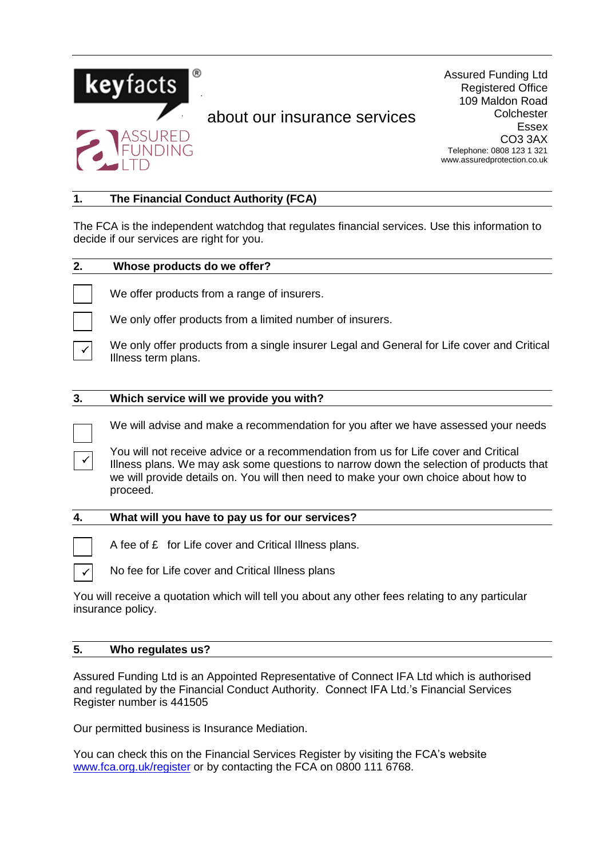

# about our insurance services

Assured Funding Ltd Registered Office 109 Maldon Road **Colchester** Essex CO3 3AX Telephone: 0808 123 1 321 www.assuredprotection.co.uk

## **1. The Financial Conduct Authority (FCA)**

The FCA is the independent watchdog that regulates financial services. Use this information to decide if our services are right for you.

| 2. | Whose products do we offer?                                                                                                                                                                                                                                                      |
|----|----------------------------------------------------------------------------------------------------------------------------------------------------------------------------------------------------------------------------------------------------------------------------------|
|    | We offer products from a range of insurers.                                                                                                                                                                                                                                      |
|    | We only offer products from a limited number of insurers.                                                                                                                                                                                                                        |
|    | We only offer products from a single insurer Legal and General for Life cover and Critical<br>Illness term plans.                                                                                                                                                                |
| 3. | Which service will we provide you with?                                                                                                                                                                                                                                          |
|    | We will advise and make a recommendation for you after we have assessed your needs                                                                                                                                                                                               |
|    | You will not receive advice or a recommendation from us for Life cover and Critical<br>Illness plans. We may ask some questions to narrow down the selection of products that<br>we will provide details on. You will then need to make your own choice about how to<br>proceed. |
| 4. | What will you have to pay us for our services?                                                                                                                                                                                                                                   |
|    | A fee of £ for Life cover and Critical Illness plans.                                                                                                                                                                                                                            |
|    | No fee for Life cover and Critical Illness plans                                                                                                                                                                                                                                 |
|    | You will receive a quotation which will tell you about any other fees relating to any particular<br>insurance policy.                                                                                                                                                            |

## **5. Who regulates us?**

Assured Funding Ltd is an Appointed Representative of Connect IFA Ltd which is authorised and regulated by the Financial Conduct Authority. Connect IFA Ltd.'s Financial Services Register number is 441505

Our permitted business is Insurance Mediation.

You can check this on the Financial Services Register by visiting the FCA's website [www.fca.org.uk/register](http://www.fca.org.uk/register) or by contacting the FCA on 0800 111 6768.